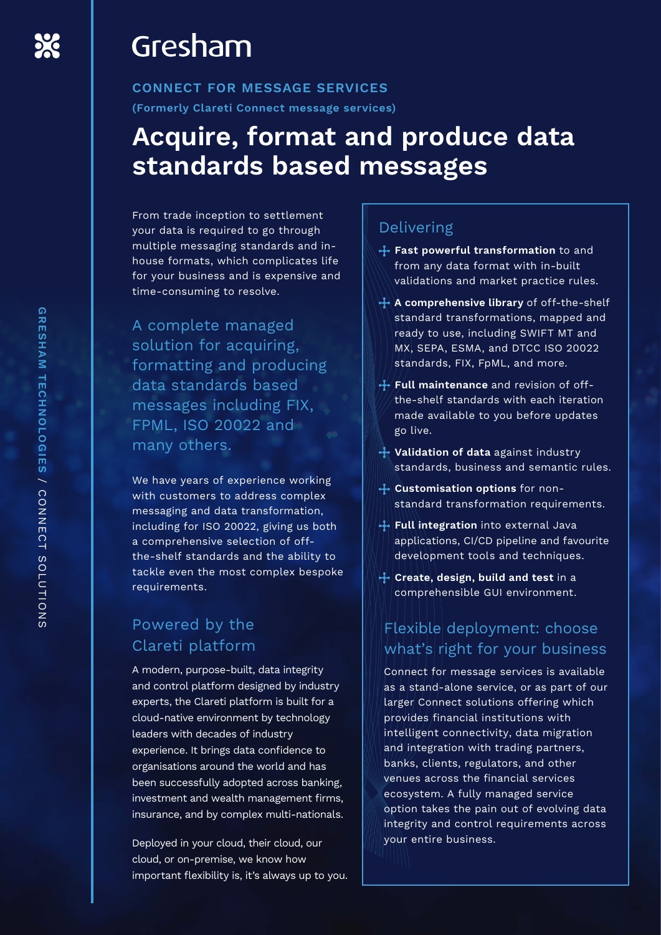## Gresham

**CONNECT FOR MESSAGE SERVICES (Formerly Clareti Connect message services)**

## **Acquire, format and produce data standards based messages**

From trade inception to settlement your data is required to go through multiple messaging standards and inhouse formats, which complicates life for your business and is expensive and time-consuming to resolve.

A complete managed solution for acquiring, formatting and producing data standards based messages including FIX, FPML, ISO 20022 and many others.

We have years of experience working with customers to address complex messaging and data transformation, including for ISO 20022, giving us both a comprehensive selection of offthe-shelf standards and the ability to tackle even the most complex bespoke requirements.

## Powered by the Clareti platform

A modern, purpose-built, data integrity and control platform designed by industry experts, the Clareti platform is built for a cloud-native environment by technology leaders with decades of industry experience. It brings data confidence to organisations around the world and has been successfully adopted across banking, investment and wealth management firms, insurance, and by complex multi-nationals.

Deployed in your cloud, their cloud, our cloud, or on-premise, we know how important flexibility is, it's always up to you.

### Delivering

- **Fast powerful transformation** to and from any data format with in-built validations and market practice rules.
- **A comprehensive library** of off-the-shelf standard transformations, mapped and ready to use, including SWIFT MT and MX, SEPA, ESMA, and DTCC ISO 20022 standards, FIX, FpML, and more.
- **Full maintenance** and revision of offthe-shelf standards with each iteration made available to you before updates go live.
- **Validation of data** against industry standards, business and semantic rules.
- **Customisation options** for nonstandard transformation requirements.
- **Full integration** into external Java applications, CI/CD pipeline and favourite development tools and techniques.
- **Create, design, build and test** in a comprehensible GUI environment.

### Flexible deployment: choose what's right for your business

Connect for message services is available as a stand-alone service, or as part of our larger Connect solutions offering which provides financial institutions with intelligent connectivity, data migration and integration with trading partners, banks, clients, regulators, and other venues across the financial services ecosystem. A fully managed service option takes the pain out of evolving data integrity and control requirements across your entire business.